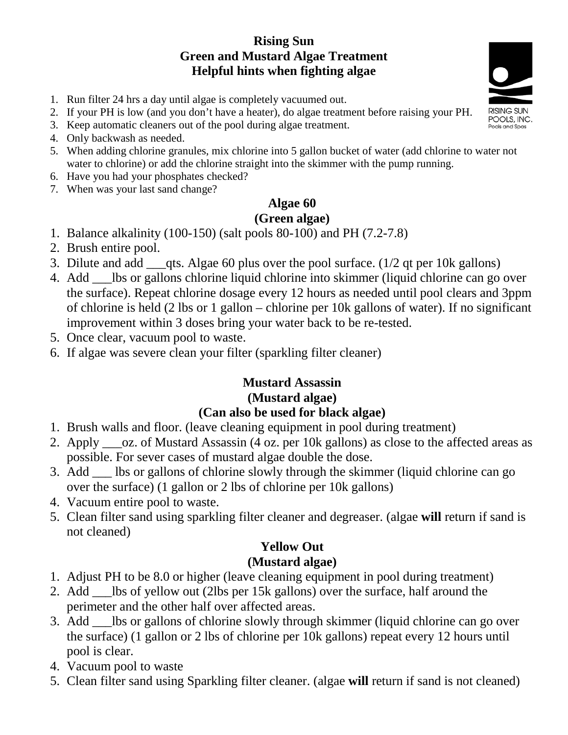#### **Rising Sun Green and Mustard Algae Treatment Helpful hints when fighting algae**

- 1. Run filter 24 hrs a day until algae is completely vacuumed out.
- 2. If your PH is low (and you don't have a heater), do algae treatment before raising your PH.
- 3. Keep automatic cleaners out of the pool during algae treatment.
- 4. Only backwash as needed.
- 5. When adding chlorine granules, mix chlorine into 5 gallon bucket of water (add chlorine to water not water to chlorine) or add the chlorine straight into the skimmer with the pump running.
- 6. Have you had your phosphates checked?
- 7. When was your last sand change?

## **Algae 60**

#### **(Green algae)**

- 1. Balance alkalinity (100-150) (salt pools 80-100) and PH (7.2-7.8)
- 2. Brush entire pool.
- 3. Dilute and add  $\qquad$  qts. Algae 60 plus over the pool surface. (1/2 qt per 10k gallons)
- 4. Add \_\_\_lbs or gallons chlorine liquid chlorine into skimmer (liquid chlorine can go over the surface). Repeat chlorine dosage every 12 hours as needed until pool clears and 3ppm of chlorine is held (2 lbs or 1 gallon – chlorine per 10k gallons of water). If no significant improvement within 3 doses bring your water back to be re-tested.
- 5. Once clear, vacuum pool to waste.
- 6. If algae was severe clean your filter (sparkling filter cleaner)

#### **Mustard Assassin (Mustard algae) (Can also be used for black algae)**

- 1. Brush walls and floor. (leave cleaning equipment in pool during treatment)
- 2. Apply \_\_\_oz. of Mustard Assassin (4 oz. per 10k gallons) as close to the affected areas as possible. For sever cases of mustard algae double the dose.
- 3. Add \_\_\_ lbs or gallons of chlorine slowly through the skimmer (liquid chlorine can go over the surface) (1 gallon or 2 lbs of chlorine per 10k gallons)
- 4. Vacuum entire pool to waste.
- 5. Clean filter sand using sparkling filter cleaner and degreaser. (algae **will** return if sand is not cleaned)

### **Yellow Out**

#### **(Mustard algae)**

- 1. Adjust PH to be 8.0 or higher (leave cleaning equipment in pool during treatment)
- 2. Add \_\_\_lbs of yellow out (2lbs per 15k gallons) over the surface, half around the perimeter and the other half over affected areas.
- 3. Add \_\_\_lbs or gallons of chlorine slowly through skimmer (liquid chlorine can go over the surface) (1 gallon or 2 lbs of chlorine per 10k gallons) repeat every 12 hours until pool is clear.
- 4. Vacuum pool to waste
- 5. Clean filter sand using Sparkling filter cleaner. (algae **will** return if sand is not cleaned)